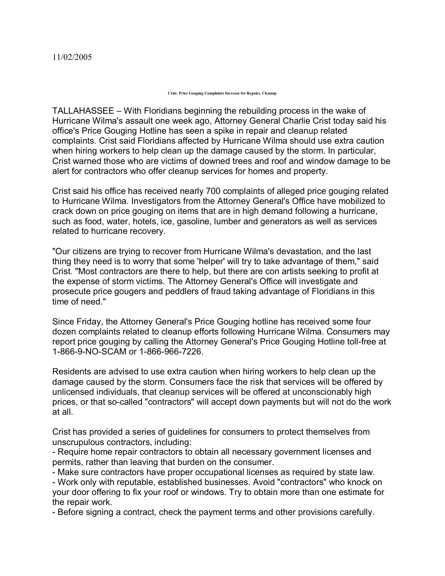## **Crist: Price Gouging Complaints Increase for Repairs, Cleanup**

TALLAHASSEE – With Floridians beginning the rebuilding process in the wake of Hurricane Wilma's assault one week ago, Attorney General Charlie Crist today said his office's Price Gouging Hotline has seen a spike in repair and cleanup related complaints. Crist said Floridians affected by Hurricane Wilma should use extra caution when hiring workers to help clean up the damage caused by the storm. In particular, Crist warned those who are victims of downed trees and roof and window damage to be alert for contractors who offer cleanup services for homes and property.

Crist said his office has received nearly 700 complaints of alleged price gouging related to Hurricane Wilma. Investigators from the Attorney General's Office have mobilized to crack down on price gouging on items that are in high demand following a hurricane, such as food, water, hotels, ice, gasoline, lumber and generators as well as services related to hurricane recovery.

"Our citizens are trying to recover from Hurricane Wilma's devastation, and the last thing they need is to worry that some 'helper' will try to take advantage of them," said Crist. "Most contractors are there to help, but there are con artists seeking to profit at the expense of storm victims. The Attorney General's Office will investigate and prosecute price gougers and peddlers of fraud taking advantage of Floridians in this time of need."

Since Friday, the Attorney General's Price Gouging hotline has received some four dozen complaints related to cleanup efforts following Hurricane Wilma. Consumers may report price gouging by calling the Attorney General's Price Gouging Hotline toll-free at 1-866-9-NO-SCAM or 1-866-966-7226.

Residents are advised to use extra caution when hiring workers to help clean up the damage caused by the storm. Consumers face the risk that services will be offered by unlicensed individuals, that cleanup services will be offered at unconscionably high prices, or that so-called "contractors" will accept down payments but will not do the work at all.

Crist has provided a series of guidelines for consumers to protect themselves from unscrupulous contractors, including:

 Require home repair contractors to obtain all necessary government licenses and permits, rather than leaving that burden on the consumer.

Make sure contractors have proper occupational licenses as required by state law.

 Work only with reputable, established businesses. Avoid "contractors" who knock on your door offering to fix your roof or windows. Try to obtain more than one estimate for the repair work.

Before signing a contract, check the payment terms and other provisions carefully.